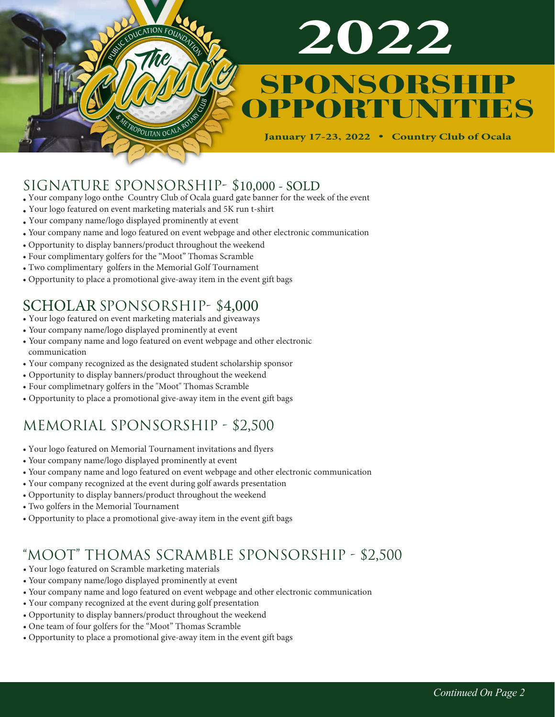

**January 17-23**, **2022** • **Country Club of Ocala** 

#### SIGNATURE SPONSORSHIP- \$10,000 - SOLD

- Your company logo onthe Country Club of Ocala guard gate banner for the week of the event
- Your logo featured on event marketing materials and 5K run t-shirt

ROPOLITAN O<sup>CA</sup>

PUBLICATION FOUNDATION

The

- Your company name/logo displayed prominently at event
- Your company name and logo featured on event webpage and other electronic communication
- Opportunity to display banners/product throughout the weekend
- Four complimentary golfers for the "Moot" Thomas Scramble
- Two complimentary golfers in the Memorial Golf Tournament
- Opportunity to place a promotional give-away item in the event gift bags

### SCHOLAR SPONSORSHIP- \$4,000

- Your logo featured on event marketing materials and giveaways
- Your company name/logo displayed prominently at event
- Your company name and logo featured on event webpage and other electronic communication
- Your company recognized as the designated student scholarship sponsor
- Opportunity to display banners/product throughout the weekend
- Four complimetnary golfers in the "Moot" Thomas Scramble
- Opportunity to place a promotional give-away item in the event gift bags

## MEMORIAL SPONSORSHIP - \$2,500

- Your logo featured on Memorial Tournament invitations and flyers
- Your company name/logo displayed prominently at event
- Your company name and logo featured on event webpage and other electronic communication
- Your company recognized at the event during golf awards presentation
- Opportunity to display banners/product throughout the weekend
- Two golfers in the Memorial Tournament
- Opportunity to place a promotional give-away item in the event gift bags

### "MOOT" THOMAS SCRAMBLE SPONSORSHIP - \$2,500

- Your logo featured on Scramble marketing materials
- Your company name/logo displayed prominently at event
- Your company name and logo featured on event webpage and other electronic communication
- Your company recognized at the event during golf presentation
- Opportunity to display banners/product throughout the weekend
- One team of four golfers for the "Moot" Thomas Scramble
- Opportunity to place a promotional give-away item in the event gift bags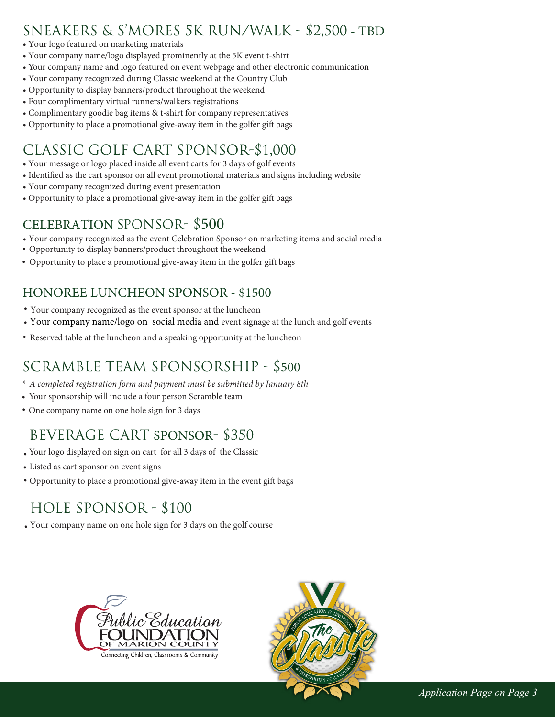### SNEAKERS & S'MORES 5K RUN/WALK - \$2,500 - TBD

- Your logo featured on marketing materials
- Your company name/logo displayed prominently at the 5K event t-shirt
- Your company name and logo featured on event webpage and other electronic communication
- Your company recognized during Classic weekend at the Country Club
- Opportunity to display banners/product throughout the weekend
- Four complimentary virtual runners/walkers registrations
- Complimentary goodie bag items & t-shirt for company representatives
- Opportunity to place a promotional give-away item in the golfer gift bags

# CLASSIC GOLF CART SPONSOR-\$1,000

- Your message or logo placed inside all event carts for 3 days of golf events
- Identified as the cart sponsor on all event promotional materials and signs including website
- Your company recognized during event presentation
- Opportunity to place a promotional give-away item in the golfer gift bags

#### CELEBRATION SPONSOR- \$500

- Your company recognized as the event Celebration Sponsor on marketing items and social media
- Opportunity to display banners/product throughout the weekend
- Opportunity to place a promotional give-away item in the golfer gift bags

### HONOREE LUNCHEON SPONSOR - \$1500

- Your company recognized as the event sponsor at the luncheon
- Your company name/logo on social media and event signage at the lunch and golf events •
- Reserved table at the luncheon and a speaking opportunity at the luncheon

## SCRAMBLE TEAM SPONSORSHIP - \$500

- *\* A completed registration form and payment must be submitted by January 8th*
- Your sponsorship will include a four person Scramble team
- One company name on one hole sign for 3 days

## BEVERAGE CART SPONSOR- \$350

- Your logo displayed on sign on cart for all 3 days of the Classic
- Listed as cart sponsor on event signs
- Opportunity to place a promotional give-away item in the event gift bags

# HOLE SPONSOR - \$100

• Your company name on one hole sign for 3 days on the golf course